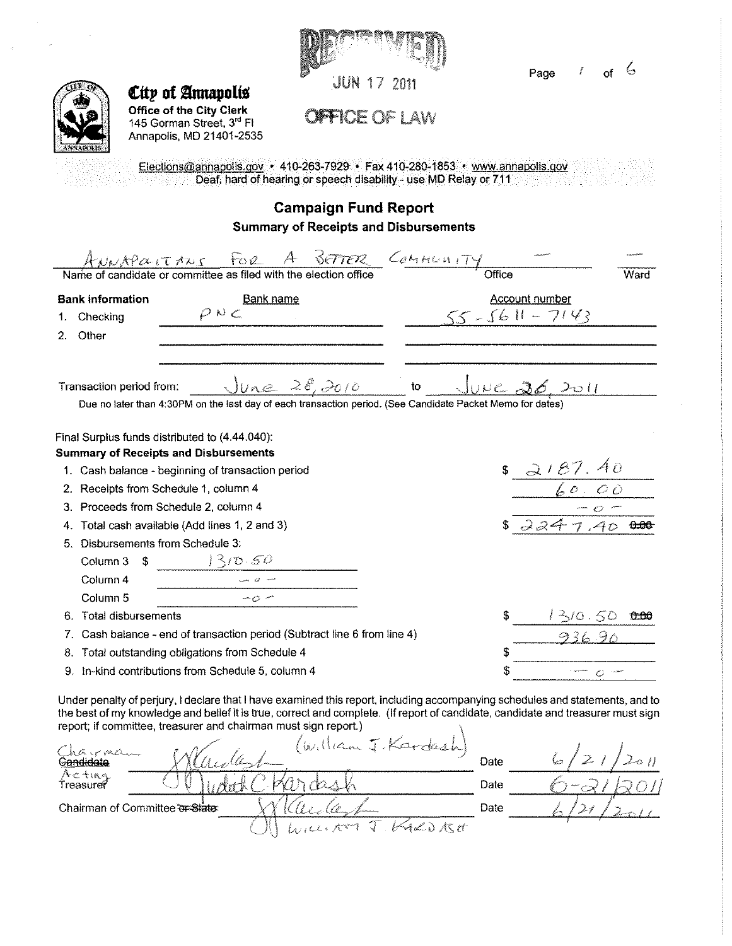

Page *r* of *b* 

*City* of Annapolis **Office of the City Clerk**  145 Gorman Street, 3<sup>rd</sup> Fl Annapolis, MD 21401-2535

**OFFICE OF LAW** 

Elections@annapolis.gov • 410-263-7929 • Fax 410-280-1853 • www.annapolis.gov **Deaf, hard of hearing or speech disability - use MD Relay or 711** 

## **Campaign Fund Report Summary of Receipts and Disbursements**

|    | ANNAPOLITANS FOR A BETTER COMMUNITY                                                                                                                                                                                                                               |  | Office |                            | Ward |
|----|-------------------------------------------------------------------------------------------------------------------------------------------------------------------------------------------------------------------------------------------------------------------|--|--------|----------------------------|------|
|    | <b>Bank information</b><br><b>Bank name</b>                                                                                                                                                                                                                       |  |        | <b>Account number</b>      |      |
| 1  | D N C<br>Checking                                                                                                                                                                                                                                                 |  |        | $55 - 5611 - 7143$         |      |
|    | 2. Other                                                                                                                                                                                                                                                          |  |        |                            |      |
|    | $June$ $28,2010$<br>Transaction period from:<br>Due no later than 4:30PM on the last day of each transaction period. (See Candidate Packet Memo for dates)                                                                                                        |  |        | $10$ JUNE 26, 2011         |      |
|    |                                                                                                                                                                                                                                                                   |  |        |                            |      |
|    | Final Surplus funds distributed to (4.44.040).                                                                                                                                                                                                                    |  |        |                            |      |
|    | <b>Summary of Receipts and Disbursements</b>                                                                                                                                                                                                                      |  |        |                            |      |
|    | 1. Cash balance - beginning of transaction period                                                                                                                                                                                                                 |  |        | $\frac{18.2187.40}{60.00}$ |      |
|    | 2. Receipts from Schedule 1, column 4                                                                                                                                                                                                                             |  |        |                            |      |
|    | 3. Proceeds from Schedule 2, column 4                                                                                                                                                                                                                             |  |        |                            |      |
|    | 4. Total cash available (Add lines 1, 2 and 3)                                                                                                                                                                                                                    |  |        | 72247.4000                 |      |
|    | 5. Disbursements from Schedule 3:                                                                                                                                                                                                                                 |  |        |                            |      |
|    | 1310.50<br>Column 3<br>-\$                                                                                                                                                                                                                                        |  |        |                            |      |
|    | Column 4                                                                                                                                                                                                                                                          |  |        |                            |      |
|    | Column <sub>5</sub><br>my m                                                                                                                                                                                                                                       |  |        |                            |      |
| 6. | <b>Total disbursements</b>                                                                                                                                                                                                                                        |  |        | 1310.50                    |      |
|    | Cash balance - end of transaction period (Subtract line 6 from line 4)                                                                                                                                                                                            |  |        |                            |      |
| 8. | Total outstanding obligations from Schedule 4                                                                                                                                                                                                                     |  |        |                            |      |
|    | 9. In-kind contributions from Schedule 5, column 4                                                                                                                                                                                                                |  |        |                            |      |
|    | Under penalty of perjury, I declare that I have examined this report, including accompanying schedules and statements, and to<br>the best of my knowledge and belief it is true, correct and complete. (If report of candidate, candidate and treasurer must sign |  |        |                            |      |

|                                | report; if committee, treasurer and chairman must sign report.) |      |  |
|--------------------------------|-----------------------------------------------------------------|------|--|
| Charman<br><b>Gandidate</b>    | (liam J.Kardash)<br>$w_{1}$                                     | Date |  |
| へこさいく<br>Treasurer             |                                                                 | Date |  |
| Chairman of Committee or State |                                                                 | Date |  |
|                                |                                                                 |      |  |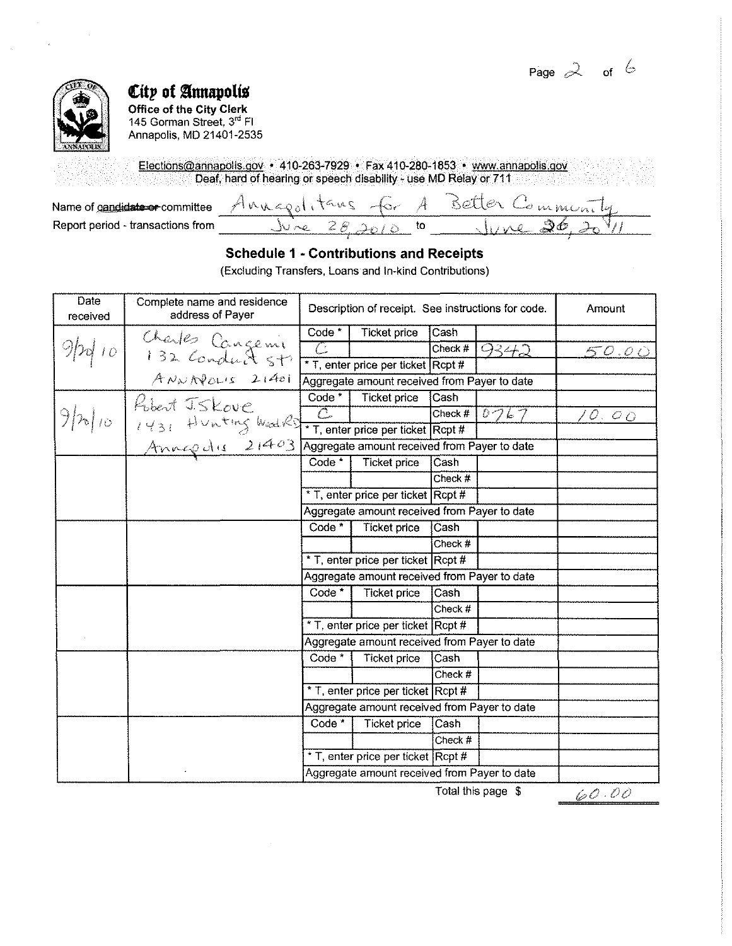Page  $2$  of  $6$ 



# City of Annapolis

Office of the City Clerk 145 Gorman Street, 3<sup>rd</sup> Fl Annapolis, MD 21401-2535

Elections@annapolis.gov • 410-263-7929 • Fax 410-280-1853 • www.annapolis.gov Deaf, hard of hearing or speech disability - use MD Relay or 711

| Name of candidate or committee    | ستحصر ويجر |  |
|-----------------------------------|------------|--|
| Report period - transactions from |            |  |

### **Schedule 1 - Contributions and Receipts**

(Excluding Transfers, Loans and In-kind Contributions)

| Date<br>received | Complete name and residence<br>address of Payer                   |                                              | Description of receipt. See instructions for code. |           | Amount |                |
|------------------|-------------------------------------------------------------------|----------------------------------------------|----------------------------------------------------|-----------|--------|----------------|
|                  |                                                                   | Code <sup>*</sup>                            | <b>Ticket price</b>                                | Cash      |        |                |
|                  |                                                                   | C                                            |                                                    | Check #   | 9342   | <u>50.00</u>   |
|                  | Charles Cangenie<br>132 Conduct 5+1<br>ANNAPOLIS 21401            |                                              | * T, enter price per ticket Rcpt #                 |           |        |                |
|                  |                                                                   |                                              | Aggregate amount received from Payer to date       |           |        |                |
|                  | Ribert J.Skove                                                    | Code <sup>*</sup>                            | <b>Ticket price</b>                                | Cash      |        |                |
| $9 h _{10}$      |                                                                   | $\overline{C}$                               |                                                    | $Check$ # | 0767   | 10. O <u>O</u> |
|                  | $\ell$ 431 Hunting Ward $\ell$ + T, enter price per ticket Rcpt # |                                              |                                                    |           |        |                |
|                  | <u>Annapolis 21403</u>                                            |                                              | Aggregate amount received from Payer to date       |           |        |                |
|                  |                                                                   | Code <sup>*</sup>                            | <b>Ticket price</b>                                | Cash      |        |                |
|                  |                                                                   |                                              |                                                    | Check #   |        |                |
|                  |                                                                   |                                              | * T, enter price per ticket Rcpt #                 |           |        |                |
|                  |                                                                   |                                              | Aggregate amount received from Payer to date       |           |        |                |
|                  |                                                                   | Code <sup>*</sup>                            | <b>Ticket price</b>                                | Cash      |        |                |
|                  |                                                                   |                                              |                                                    | Check #   |        |                |
|                  |                                                                   |                                              | * T, enter price per ticket Rcpt #                 |           |        |                |
|                  |                                                                   |                                              | Aggregate amount received from Payer to date       |           |        |                |
|                  |                                                                   | Code <sup>*</sup>                            | <b>Ticket price</b>                                | Cash      |        |                |
|                  |                                                                   |                                              |                                                    | Check #   |        |                |
|                  |                                                                   |                                              | * T, enter price per ticket Rcpt #                 |           |        |                |
|                  |                                                                   |                                              | Aggregate amount received from Payer to date       |           |        |                |
|                  |                                                                   | Code <sup>*</sup>                            | <b>Ticket price</b>                                | Cash      |        |                |
|                  |                                                                   |                                              |                                                    | Check #   |        |                |
|                  |                                                                   |                                              | * T, enter price per ticket Rcpt #                 |           |        |                |
|                  |                                                                   | Aggregate amount received from Payer to date |                                                    |           |        |                |
|                  |                                                                   | Code <sup>*</sup>                            | Ticket price                                       | Cash      |        |                |
|                  |                                                                   |                                              |                                                    | Check #   |        |                |
|                  |                                                                   |                                              | * T, enter price per ticket Rcpt #                 |           |        |                |
|                  |                                                                   |                                              | Aggregate amount received from Payer to date       |           |        |                |

 $\bar{z}$ 

Total this page \$

 $60.00$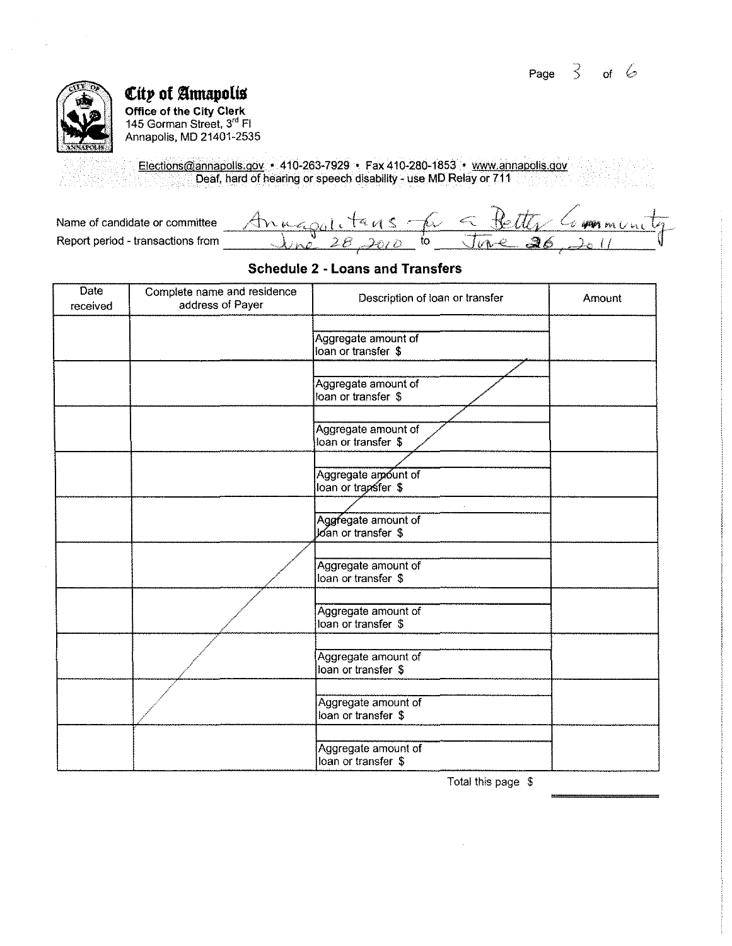

~ftp **of §nnapoltu** 

Office of the City Clerk 145 Gorman Street, 3'' Fl Annapolis, MD 21401-2535

Elections@annapolis.gov • 410-263-7929 • Fax410-280-1853 • www.annapolis.gov Deaf, hard of hearing or speech disability- use MD Relay or 711

| Name of candidate or committee    | $-t$<br>$\sim$ $\alpha$ | them in<br>AREA IN |
|-----------------------------------|-------------------------|--------------------|
| Report period - transactions from |                         |                    |

### **Schedule 2 - Loans and Transfers**

| <b>Date</b><br>received | Complete name and residence<br>address of Payer | Description of loan or transfer            | Amount |
|-------------------------|-------------------------------------------------|--------------------------------------------|--------|
|                         |                                                 | Aggregate amount of<br>loan or transfer \$ |        |
|                         |                                                 | Aggregate amount of<br>loan or transfer \$ |        |
|                         |                                                 | Aggregate amount of<br>loan or transfer \$ |        |
|                         |                                                 | Aggregate amount of<br>loan or trapsfer \$ |        |
|                         |                                                 | Aggregate amount of<br>Joan or transfer \$ |        |
|                         |                                                 | Aggregate amount of<br>loan or transfer \$ |        |
|                         |                                                 | Aggregate amount of<br>loan or transfer \$ |        |
|                         |                                                 | Aggregate amount of<br>loan or transfer \$ |        |
|                         |                                                 | Aggregate amount of<br>loan or transfer \$ |        |
|                         |                                                 | Aggregate amount of<br>loan or transfer \$ |        |

Total this page \$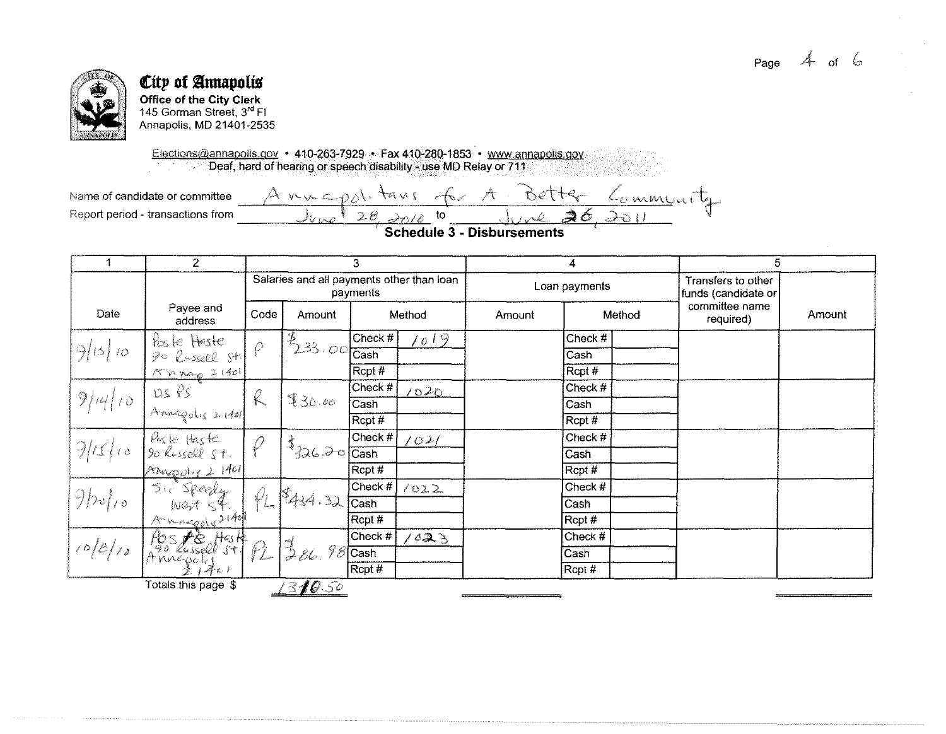

### City of Annapolis **Office of the City Clerk** 145 Gorman Street, 3rd Fl Annapolis, MD 21401-2535

Elections@annapolis.gov • 410-263-7929 • Fax 410-280-1853 • www.annapolis.gov Deaf, hard of hearing or speech disability - use MD Relay or 711

Annepolitans Name of candidate or committee Community BET+ Report period - transactions from  $2e$ to ∍6  $\partial\Omega$  $\partial\Omega/\partial$ 

**Schedule 3 - Disbursements** 

|           | $\overline{2}$                  |             |                                                  | 3                                                     |        | 4             |         |        | 5                                         |        |      |  |  |      |  |  |  |
|-----------|---------------------------------|-------------|--------------------------------------------------|-------------------------------------------------------|--------|---------------|---------|--------|-------------------------------------------|--------|------|--|--|------|--|--|--|
|           |                                 |             |                                                  | Salaries and all payments other than loan<br>payments |        | Loan payments |         |        | Transfers to other<br>funds (candidate or |        |      |  |  |      |  |  |  |
| Date      | Payee and<br>address            | Code        | Amount                                           |                                                       | Method | Amount        |         | Method | committee name<br>required)               | Amount |      |  |  |      |  |  |  |
|           |                                 |             |                                                  | Check #                                               | 1019   |               | Check # |        |                                           |        |      |  |  |      |  |  |  |
| 9/15/10   | Poste Haste<br>20 Russell St.   | $\varrho$   | $1^{8}$ $2^{33}$ $10^{10}$ $\sqrt{2}$ $\sqrt{2}$ |                                                       |        |               | Cash    |        |                                           |        |      |  |  |      |  |  |  |
|           | 1 mag 21401                     |             |                                                  | $R$ cpt #                                             |        |               | Rcpt #  |        |                                           |        |      |  |  |      |  |  |  |
|           |                                 |             |                                                  | Check #                                               | 1020   |               | Check # |        |                                           |        |      |  |  |      |  |  |  |
| 9 14 10   | $us$ $PS$<br>Annapolis $x$ 1401 |             |                                                  |                                                       |        |               | $\ell$  |        |                                           | 930.00 | Cash |  |  | Cash |  |  |  |
|           |                                 |             |                                                  | Rcpt #                                                |        |               | Rcpt #  |        |                                           |        |      |  |  |      |  |  |  |
|           | Poste Haste                     |             |                                                  | Check $#$                                             | 1021   |               | Check # |        |                                           |        |      |  |  |      |  |  |  |
| 9/15/10   |                                 |             | $1^3$ 326.2017                                   | Cash                                                  |        |               | Cash    |        |                                           |        |      |  |  |      |  |  |  |
|           | Anypolis 2 1401                 |             |                                                  | Rcpt #                                                |        |               | Rcpt #  |        |                                           |        |      |  |  |      |  |  |  |
|           | Sir Speedy<br>West St.          |             |                                                  | Check #                                               | 1022   |               | Check # |        |                                           |        |      |  |  |      |  |  |  |
| $9b_0/10$ |                                 | $\varphi_L$ | $R_{434.32}$                                     | Cash                                                  |        |               | Cash    |        |                                           |        |      |  |  |      |  |  |  |
|           |                                 |             |                                                  | Rcpt #                                                |        |               | Rcpt#   |        |                                           |        |      |  |  |      |  |  |  |
|           | Hospie Haste                    |             |                                                  | Check #                                               | 1023   |               | Check # |        |                                           |        |      |  |  |      |  |  |  |
| 108/10    |                                 |             | $\frac{1}{2}$ $\frac{2}{5}$                      | $\frac{9}{2}$ Cash                                    |        |               | Cash    |        |                                           |        |      |  |  |      |  |  |  |
|           | $\mathcal{Z}_{\mathcal{L}}$     |             |                                                  | $\mathsf{Rept}\,\#$                                   |        |               | Rcpt #  |        |                                           |        |      |  |  |      |  |  |  |
|           | Totals this page \$             |             | 1310.50                                          |                                                       |        |               |         |        |                                           |        |      |  |  |      |  |  |  |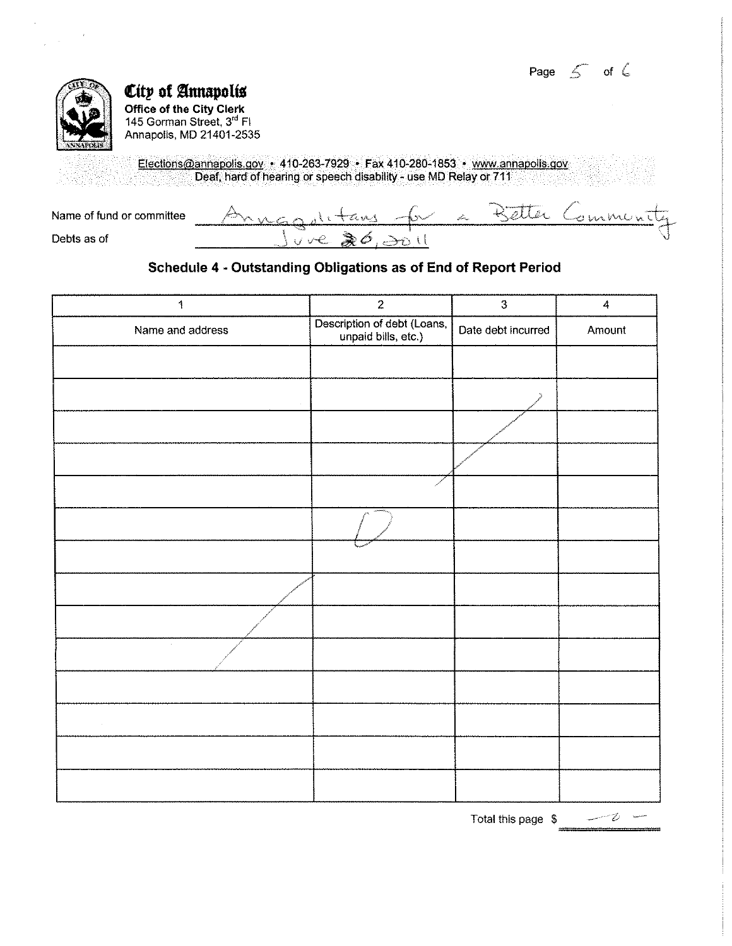Page  $\leq$  of  $\in$ 



1760

# **City of Annapolis**

**Office of the City Clerk**  145 Gorman Street. 3'' Fl Annapolis, MD 21401-2535

> Elections@annapolis.gov • 410-263-7929 • Fax 410-280-1853 • www.annaoolis.gov Deaf, hard of hearing or speech disability- use MD Relay or 711

| Name of fund or committee | SS. | <b>Service Andrews</b><br>the contract | munita |
|---------------------------|-----|----------------------------------------|--------|
| Debts as of               |     |                                        |        |

### **Schedule 4 -Outstanding Obligations as of End of Report Period**

| $\ddagger$       | $\boldsymbol{2}$                                   | $\overline{3}$     | $\pmb{4}$ |
|------------------|----------------------------------------------------|--------------------|-----------|
| Name and address | Description of debt (Loans,<br>unpaid bills, etc.) | Date debt incurred | Amount    |
|                  |                                                    |                    |           |
|                  |                                                    |                    |           |
|                  |                                                    |                    |           |
|                  |                                                    |                    |           |
|                  |                                                    |                    |           |
|                  |                                                    |                    |           |
|                  |                                                    |                    |           |
|                  |                                                    |                    |           |
|                  |                                                    |                    |           |
| $\sim$           |                                                    |                    |           |
|                  |                                                    |                    |           |
| $\epsilon$       |                                                    |                    |           |
|                  |                                                    |                    |           |
|                  |                                                    |                    |           |

Total this page \$ =====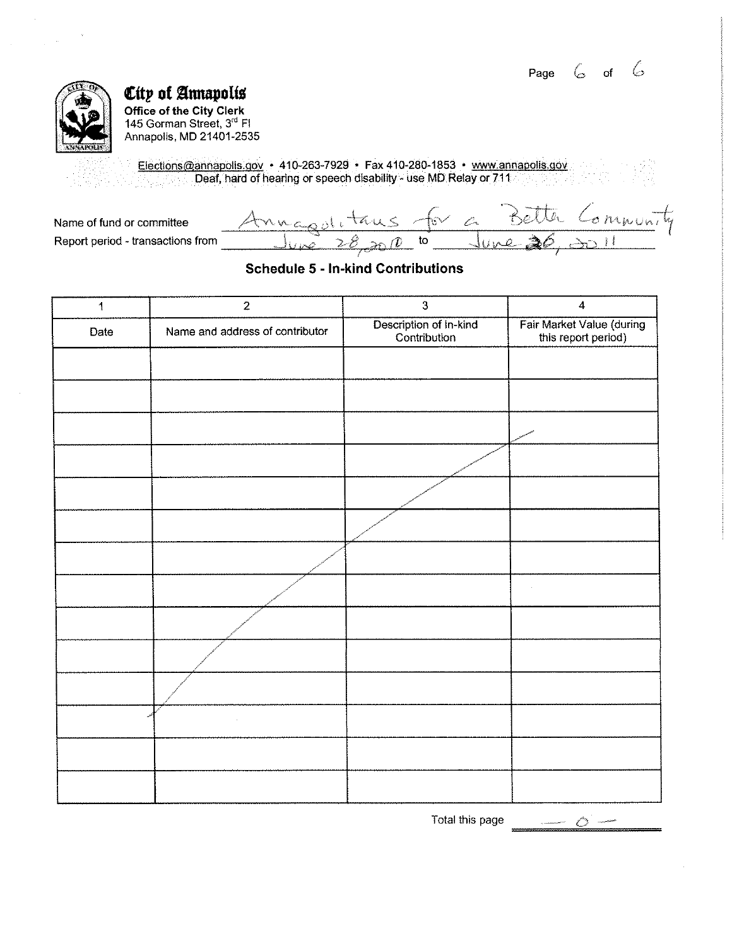Page  $6$  of  $6$ 



## $\varepsilon$ tty of Annapolis **Office of the City Clerk**

145 Gorman Street, 3<sup>rd</sup> Fl Annapolis, MD 21401-2535

Elections@annapolis.gov • 410-263-7929 • Fax410-280-1853 • www.annapolis.gov Deaf, hard of hearing or speech disability - use MD Relay or 711 <u> 대화</u>

Annagolitaus for a Better Communi Name of fund or committee Report period - transactions from

### **Schedule 5 - In-kind Contributions**

| $\mathbf{1}$ | $\overline{2}$                  | $\mathbf{3}$                           | $\overline{\mathbf{4}}$                          |
|--------------|---------------------------------|----------------------------------------|--------------------------------------------------|
| Date         | Name and address of contributor | Description of In-kind<br>Contribution | Fair Market Value (during<br>this report period) |
|              |                                 |                                        |                                                  |
|              |                                 |                                        |                                                  |
|              |                                 |                                        |                                                  |
|              | $\sim$                          |                                        |                                                  |
|              |                                 |                                        |                                                  |
|              |                                 |                                        |                                                  |
|              |                                 |                                        |                                                  |
|              |                                 |                                        | $\sim$                                           |
|              |                                 |                                        |                                                  |
|              |                                 |                                        |                                                  |
|              |                                 |                                        |                                                  |
|              | $\bar{\lambda}$                 |                                        |                                                  |
|              |                                 |                                        |                                                  |
|              |                                 |                                        |                                                  |

Total this page

 $\sim$   $\circ$   $\sim$